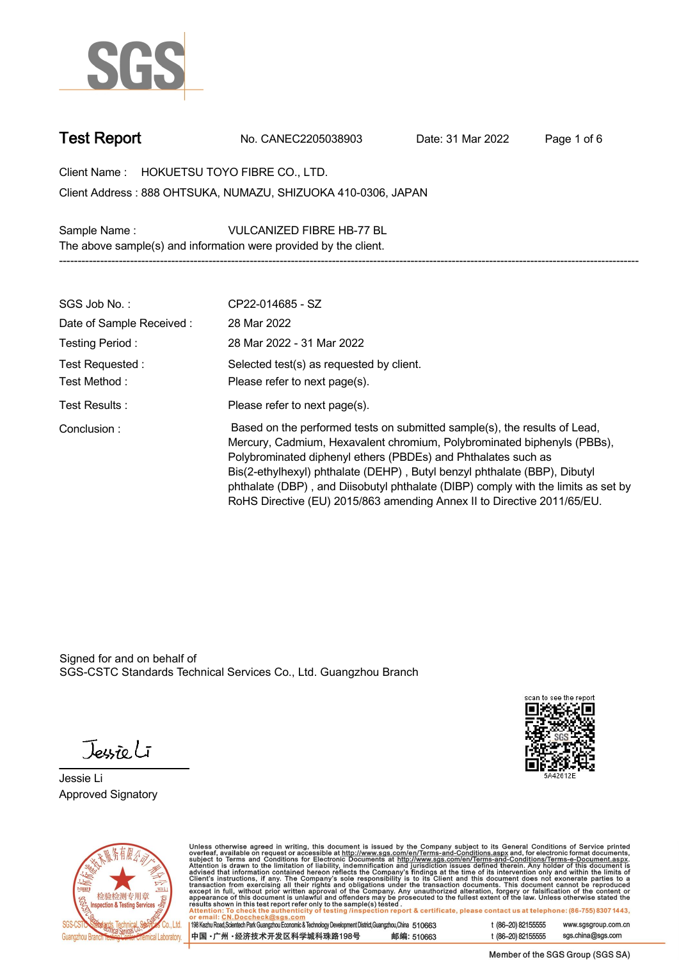

**Test Report. No. CANEC2205038903 . Date: 31 Mar 2022 . Page 1 of 6.**

**Client Name : HOKUETSU TOYO FIBRE CO., LTD. . 888 OHTSUKA, NUMAZU, SHIZUOKA 410-0306, JAPAN . Client Address :**

**Sample Name : VULCANIZED FIBRE HB-77 BL . The above sample(s) and information were provided by the client. -----------------------------------------------------------------------------------------------------------------------------------------------------------**

| SGS Job No.:                    | CP22-014685 - SZ                                                                                                                                                                                                                                                                                                                                                                                                                                                   |
|---------------------------------|--------------------------------------------------------------------------------------------------------------------------------------------------------------------------------------------------------------------------------------------------------------------------------------------------------------------------------------------------------------------------------------------------------------------------------------------------------------------|
| Date of Sample Received:        | 28 Mar 2022                                                                                                                                                                                                                                                                                                                                                                                                                                                        |
| Testing Period:                 | 28 Mar 2022 - 31 Mar 2022                                                                                                                                                                                                                                                                                                                                                                                                                                          |
| Test Requested:<br>Test Method: | Selected test(s) as requested by client.<br>Please refer to next page(s).                                                                                                                                                                                                                                                                                                                                                                                          |
| Test Results:                   | Please refer to next page(s).                                                                                                                                                                                                                                                                                                                                                                                                                                      |
| Conclusion:                     | Based on the performed tests on submitted sample(s), the results of Lead,<br>Mercury, Cadmium, Hexavalent chromium, Polybrominated biphenyls (PBBs),<br>Polybrominated diphenyl ethers (PBDEs) and Phthalates such as<br>Bis(2-ethylhexyl) phthalate (DEHP), Butyl benzyl phthalate (BBP), Dibutyl<br>phthalate (DBP), and Diisobutyl phthalate (DIBP) comply with the limits as set by<br>RoHS Directive (EU) 2015/863 amending Annex II to Directive 2011/65/EU. |

Signed for and on behalf of SGS-CSTC Standards Technical Services Co., Ltd. Guangzhou Branch.

Jessieli

**Jessie Li. Approved Signatory .**





Unless otherwise agreed in writing, this document is issued by the Company subject to its General Conditions of Service printed<br>overleaf, available on request or accessible at http://www.sgs.com/en/Terms-and-Conditions.as

| 198 Kezhu Road,Scientech Park Guangzhou Economic & Technology Development District,Guangzhou,China 510663 |            |
|-----------------------------------------------------------------------------------------------------------|------------|
| 中国 •广州 •经济技术开发区科学城科珠路198号                                                                                 | 邮编: 510663 |

t (86-20) 82155555 www.sgsgroup.com.cn sgs.china@sgs.com t (86-20) 82155555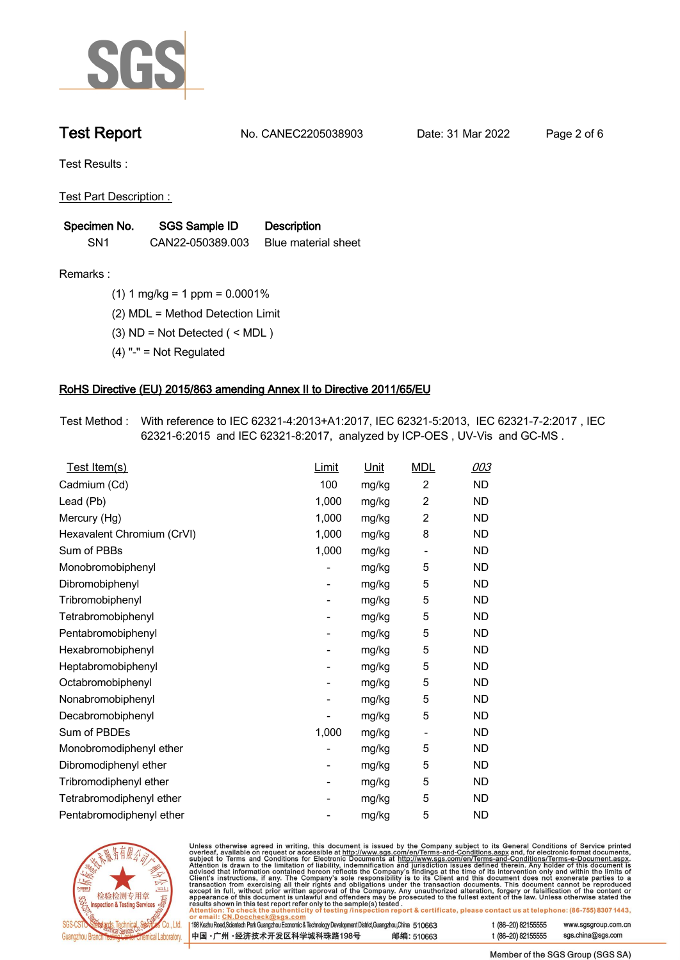

**Test Report. No. CANEC2205038903 . Date: 31 Mar 2022 . Page 2 of 6.**

**Test Results :.**

**Test Part Description : .**

| Specimen No.    | <b>SGS Sample ID</b> | <b>Description</b>  |
|-----------------|----------------------|---------------------|
| SN <sub>1</sub> | CAN22-050389.003     | Blue material sheet |

- **Remarks :.(1) 1 mg/kg = 1 ppm = 0.0001% .**
	- **(2) MDL = Method Detection Limit .**
	- **(3) ND = Not Detected ( < MDL ) .**
	- **(4) "-" = Not Regulated .**

## **RoHS Directive (EU) 2015/863 amending Annex II to Directive 2011/65/EU.**

**Test Method :. With reference to IEC 62321-4:2013+A1:2017, IEC 62321-5:2013, IEC 62321-7-2:2017 , IEC 62321-6:2015 and IEC 62321-8:2017, analyzed by ICP-OES , UV-Vis and GC-MS . .**

| Test Item(s)               | <b>Limit</b> | <u>Unit</u> | <b>MDL</b>                   | 003       |
|----------------------------|--------------|-------------|------------------------------|-----------|
| Cadmium (Cd)               | 100          | mg/kg       | $\overline{2}$               | <b>ND</b> |
| Lead (Pb)                  | 1,000        | mg/kg       | $\overline{2}$               | <b>ND</b> |
| Mercury (Hg)               | 1,000        | mg/kg       | $\overline{2}$               | <b>ND</b> |
| Hexavalent Chromium (CrVI) | 1,000        | mg/kg       | 8                            | <b>ND</b> |
| Sum of PBBs                | 1,000        | mg/kg       | $\overline{\phantom{0}}$     | <b>ND</b> |
| Monobromobiphenyl          |              | mg/kg       | 5                            | <b>ND</b> |
| Dibromobiphenyl            | -            | mg/kg       | 5                            | <b>ND</b> |
| Tribromobiphenyl           | -            | mg/kg       | 5                            | <b>ND</b> |
| Tetrabromobiphenyl         |              | mg/kg       | 5                            | <b>ND</b> |
| Pentabromobiphenyl         | -            | mg/kg       | 5                            | <b>ND</b> |
| Hexabromobiphenyl          |              | mg/kg       | 5                            | <b>ND</b> |
| Heptabromobiphenyl         |              | mg/kg       | 5                            | <b>ND</b> |
| Octabromobiphenyl          | -            | mg/kg       | 5                            | <b>ND</b> |
| Nonabromobiphenyl          |              | mg/kg       | 5                            | <b>ND</b> |
| Decabromobiphenyl          |              | mg/kg       | 5                            | <b>ND</b> |
| Sum of PBDEs               | 1,000        | mg/kg       | $\qquad \qquad \blacksquare$ | <b>ND</b> |
| Monobromodiphenyl ether    |              | mg/kg       | 5                            | <b>ND</b> |
| Dibromodiphenyl ether      |              | mg/kg       | 5                            | <b>ND</b> |
| Tribromodiphenyl ether     | -            | mg/kg       | 5                            | <b>ND</b> |
| Tetrabromodiphenyl ether   |              | mg/kg       | 5                            | <b>ND</b> |
| Pentabromodiphenyl ether   |              | mg/kg       | 5                            | <b>ND</b> |



Unless otherwise agreed in writing, this document is issued by the Company subject to its General Conditions of Service printed overleaf, available on request or accessible at http://www.sgs.com/en/Terms-and-Conditions.as

| r email: CN.Doccheck@sgs.com                                                                             |            |                    |                     |
|----------------------------------------------------------------------------------------------------------|------------|--------------------|---------------------|
| 98 Kezhu Road,Scientech Park Guangzhou Economic & Technology Development District,Guangzhou,China 510663 |            | t (86–20) 82155555 | www.sgsgroup.com.cl |
| 中国 •广州 •经济技术开发区科学城科珠路198号 」                                                                              | 邮编: 510663 | t (86–20) 82155555 | sgs.china@sgs.com   |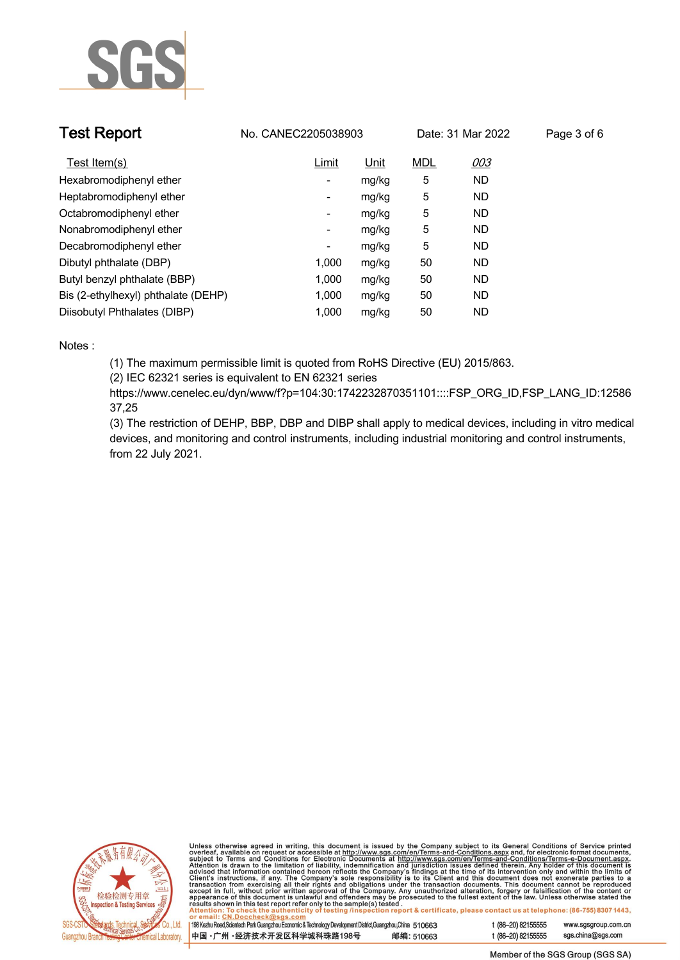

| <b>Test Report</b>                  | No. CANEC2205038903      |             |            | Date: 31 Mar 2022 | Page 3 of 6 |
|-------------------------------------|--------------------------|-------------|------------|-------------------|-------------|
| Test Item(s)                        | Limit                    | <u>Unit</u> | <b>MDL</b> | <u>003</u>        |             |
| Hexabromodiphenyl ether             | ٠                        | mg/kg       | 5          | <b>ND</b>         |             |
| Heptabromodiphenyl ether            | ٠                        | mg/kg       | 5          | <b>ND</b>         |             |
| Octabromodiphenyl ether             | $\overline{\phantom{a}}$ | mg/kg       | 5          | <b>ND</b>         |             |
| Nonabromodiphenyl ether             | $\overline{\phantom{a}}$ | mg/kg       | 5          | <b>ND</b>         |             |
| Decabromodiphenyl ether             | -                        | mg/kg       | 5          | <b>ND</b>         |             |
| Dibutyl phthalate (DBP)             | 1.000                    | mg/kg       | 50         | <b>ND</b>         |             |
| Butyl benzyl phthalate (BBP)        | 1.000                    | mg/kg       | 50         | <b>ND</b>         |             |
| Bis (2-ethylhexyl) phthalate (DEHP) | 1.000                    | mg/kg       | 50         | <b>ND</b>         |             |
| Diisobutyl Phthalates (DIBP)        | 1.000                    | mg/kg       | 50         | ND                |             |

### **Notes :.**

**(1) The maximum permissible limit is quoted from RoHS Directive (EU) 2015/863.**

**(2) IEC 62321 series is equivalent to EN 62321 series**

**https://www.cenelec.eu/dyn/www/f?p=104:30:1742232870351101::::FSP\_ORG\_ID,FSP\_LANG\_ID:12586 37,25**

**(3) The restriction of DEHP, BBP, DBP and DIBP shall apply to medical devices, including in vitro medical devices, and monitoring and control instruments, including industrial monitoring and control instruments, from 22 July 2021..**



Unless otherwise agreed in writing, this document is issued by the Company subject to its General Conditions of Service printed<br>overleaf, available on request or accessible at http://www.sgs.com/en/Terms-and-Conditions.as

| 198 Kezhu Road, Scientech Park Guangzhou Economic & Technology Development District, Guangzhou, China 510663 |            |
|--------------------------------------------------------------------------------------------------------------|------------|
| 中国・广州 ・经济技术开发区科学城科珠路198号                                                                                     | 邮编: 510663 |

www.sgsgroup.com.cn

t (86-20) 82155555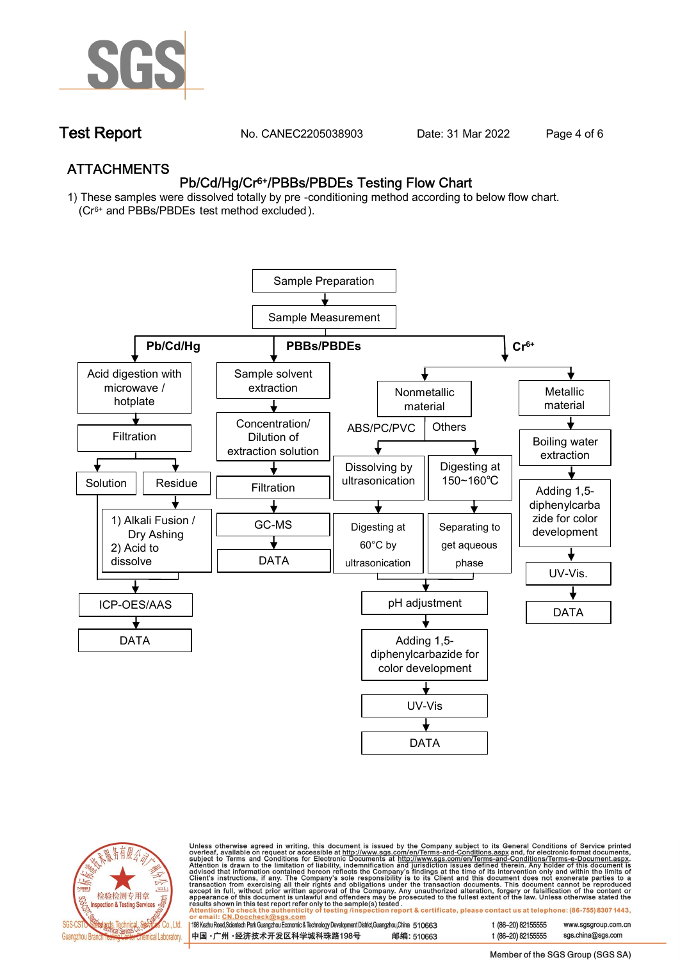

**Test Report. No. CANEC2205038903 . Date: 31 Mar 2022 . Page 4 of 6.**

## **ATTACHMENTS Pb/Cd/Hg/Cr6+/PBBs/PBDEs Testing Flow Chart**

**1) These samples were dissolved totally by pre -conditioning method according to below flow chart. (Cr6+ and PBBs/PBDEs test method excluded ).**





Unless otherwise agreed in writing, this document is issued by the Company subject to its General Conditions of Service printed<br>overleaf, available on request or accessible at http://www.sgs.com/en/Terms-and-Conditions.as

| 198 Kezhu Road,Scientech Park Guangzhou Economic & Technology Development District,Guangzhou,China 510663 |            |
|-----------------------------------------------------------------------------------------------------------|------------|
| 中国・广州・经济技术开发区科学城科珠路198号                                                                                   | 邮编: 510663 |

t (86-20) 82155555 t (86-20) 82155555 sas.china@sas.com

www.sgsgroup.com.cn

Member of the SGS Group (SGS SA)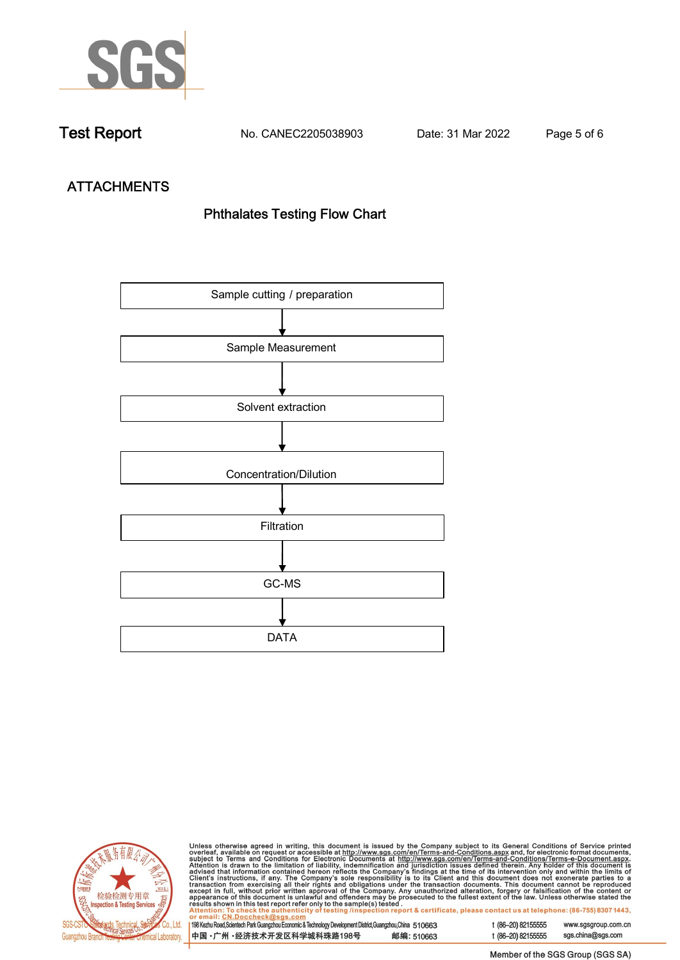

**Test Report. No. CANEC2205038903 . Date: 31 Mar 2022 . Page 5 of 6.**

# **ATTACHMENTS Phthalates Testing Flow Chart**





Unless otherwise agreed in writing, this document is issued by the Company subject to its General Conditions of Service printed<br>overleaf, available on request or accessible at http://www.sgs.com/en/Terms-and-Conditions.as

| <u>UI CIIIAII. CN.DUCCIICCRIWSUS.COIII</u>                                                                |            |
|-----------------------------------------------------------------------------------------------------------|------------|
| 198 Kezhu Road,Scientech Park Guangzhou Economic & Technology Development District,Guangzhou,China 510663 |            |
| 中国 •广州 •经济技术开发区科学城科珠路198号                                                                                 | 邮编: 510663 |

t (86-20) 82155555 www.sgsgroup.com.cn t (86-20) 82155555 sgs.china@sgs.com